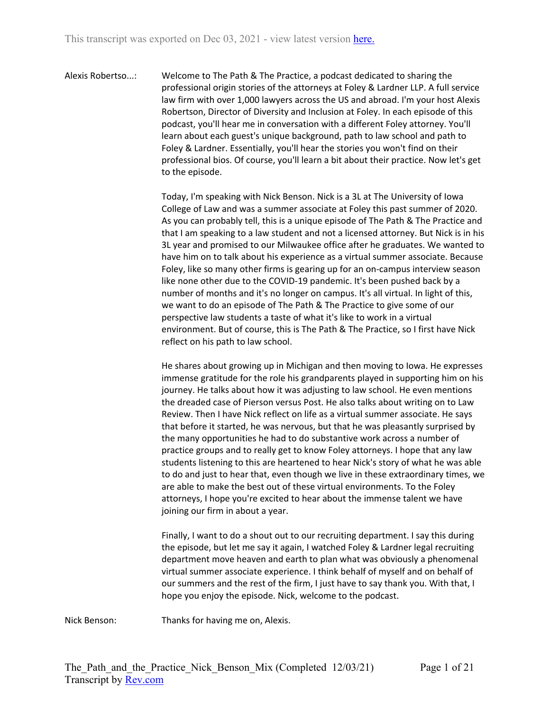Alexis Robertso...: Welcome to The Path & The Practice, a podcast dedicated to sharing the professional origin stories of the attorneys at Foley & Lardner LLP. A full service law firm with over 1,000 lawyers across the US and abroad. I'm your host Alexis Robertson, Director of Diversity and Inclusion at Foley. In each episode of this podcast, you'll hear me in conversation with a different Foley attorney. You'll learn about each guest's unique background, path to law school and path to Foley & Lardner. Essentially, you'll hear the stories you won't find on their professional bios. Of course, you'll learn a bit about their practice. Now let's get to the episode.

> Today, I'm speaking with Nick Benson. Nick is a 3L at The University of Iowa College of Law and was a summer associate at Foley this past summer of 2020. As you can probably tell, this is a unique episode of The Path & The Practice and that I am speaking to a law student and not a licensed attorney. But Nick is in his 3L year and promised to our Milwaukee office after he graduates. We wanted to have him on to talk about his experience as a virtual summer associate. Because Foley, like so many other firms is gearing up for an on-campus interview season like none other due to the COVID-19 pandemic. It's been pushed back by a number of months and it's no longer on campus. It's all virtual. In light of this, we want to do an episode of The Path & The Practice to give some of our perspective law students a taste of what it's like to work in a virtual environment. But of course, this is The Path & The Practice, so I first have Nick reflect on his path to law school.

> He shares about growing up in Michigan and then moving to Iowa. He expresses immense gratitude for the role his grandparents played in supporting him on his journey. He talks about how it was adjusting to law school. He even mentions the dreaded case of Pierson versus Post. He also talks about writing on to Law Review. Then I have Nick reflect on life as a virtual summer associate. He says that before it started, he was nervous, but that he was pleasantly surprised by the many opportunities he had to do substantive work across a number of practice groups and to really get to know Foley attorneys. I hope that any law students listening to this are heartened to hear Nick's story of what he was able to do and just to hear that, even though we live in these extraordinary times, we are able to make the best out of these virtual environments. To the Foley attorneys, I hope you're excited to hear about the immense talent we have joining our firm in about a year.

Finally, I want to do a shout out to our recruiting department. I say this during the episode, but let me say it again, I watched Foley & Lardner legal recruiting department move heaven and earth to plan what was obviously a phenomenal virtual summer associate experience. I think behalf of myself and on behalf of our summers and the rest of the firm, I just have to say thank you. With that, I hope you enjoy the episode. Nick, welcome to the podcast.

Nick Benson: Thanks for having me on, Alexis.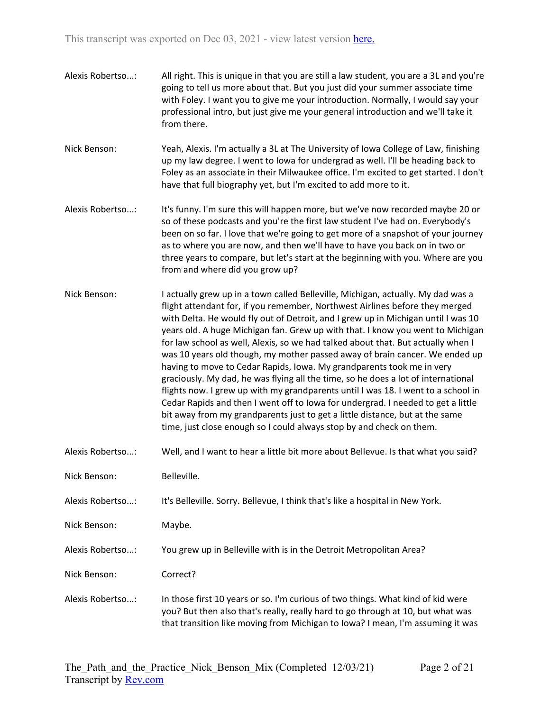- Alexis Robertso...: All right. This is unique in that you are still a law student, you are a 3L and you're going to tell us more about that. But you just did your summer associate time with Foley. I want you to give me your introduction. Normally, I would say your professional intro, but just give me your general introduction and we'll take it from there.
- Nick Benson: Yeah, Alexis. I'm actually a 3L at The University of Iowa College of Law, finishing up my law degree. I went to Iowa for undergrad as well. I'll be heading back to Foley as an associate in their Milwaukee office. I'm excited to get started. I don't have that full biography yet, but I'm excited to add more to it.
- Alexis Robertso...: It's funny. I'm sure this will happen more, but we've now recorded maybe 20 or so of these podcasts and you're the first law student I've had on. Everybody's been on so far. I love that we're going to get more of a snapshot of your journey as to where you are now, and then we'll have to have you back on in two or three years to compare, but let's start at the beginning with you. Where are you from and where did you grow up?
- Nick Benson: I actually grew up in a town called Belleville, Michigan, actually. My dad was a flight attendant for, if you remember, Northwest Airlines before they merged with Delta. He would fly out of Detroit, and I grew up in Michigan until I was 10 years old. A huge Michigan fan. Grew up with that. I know you went to Michigan for law school as well, Alexis, so we had talked about that. But actually when I was 10 years old though, my mother passed away of brain cancer. We ended up having to move to Cedar Rapids, Iowa. My grandparents took me in very graciously. My dad, he was flying all the time, so he does a lot of international flights now. I grew up with my grandparents until I was 18. I went to a school in Cedar Rapids and then I went off to Iowa for undergrad. I needed to get a little bit away from my grandparents just to get a little distance, but at the same time, just close enough so I could always stop by and check on them.
- Alexis Robertso...: Well, and I want to hear a little bit more about Bellevue. Is that what you said?
- Nick Benson: Belleville.
- Alexis Robertso...: It's Belleville. Sorry. Bellevue, I think that's like a hospital in New York.
- Nick Benson: Maybe.
- Alexis Robertso...: You grew up in Belleville with is in the Detroit Metropolitan Area?
- Nick Benson: Correct?
- Alexis Robertso...: In those first 10 years or so. I'm curious of two things. What kind of kid were you? But then also that's really, really hard to go through at 10, but what was that transition like moving from Michigan to Iowa? I mean, I'm assuming it was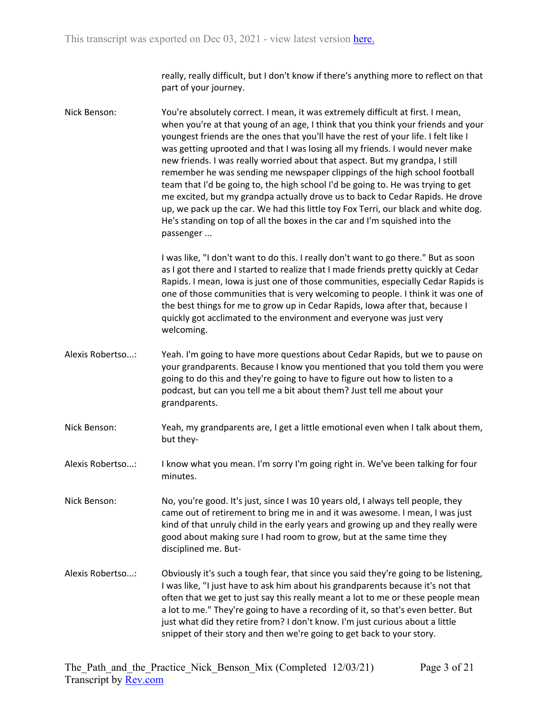really, really difficult, but I don't know if there's anything more to reflect on that part of your journey.

Nick Benson: You're absolutely correct. I mean, it was extremely difficult at first. I mean, when you're at that young of an age, I think that you think your friends and your youngest friends are the ones that you'll have the rest of your life. I felt like I was getting uprooted and that I was losing all my friends. I would never make new friends. I was really worried about that aspect. But my grandpa, I still remember he was sending me newspaper clippings of the high school football team that I'd be going to, the high school I'd be going to. He was trying to get me excited, but my grandpa actually drove us to back to Cedar Rapids. He drove up, we pack up the car. We had this little toy Fox Terri, our black and white dog. He's standing on top of all the boxes in the car and I'm squished into the passenger ...

> I was like, "I don't want to do this. I really don't want to go there." But as soon as I got there and I started to realize that I made friends pretty quickly at Cedar Rapids. I mean, Iowa is just one of those communities, especially Cedar Rapids is one of those communities that is very welcoming to people. I think it was one of the best things for me to grow up in Cedar Rapids, Iowa after that, because I quickly got acclimated to the environment and everyone was just very welcoming.

- Alexis Robertso...: Yeah. I'm going to have more questions about Cedar Rapids, but we to pause on your grandparents. Because I know you mentioned that you told them you were going to do this and they're going to have to figure out how to listen to a podcast, but can you tell me a bit about them? Just tell me about your grandparents.
- Nick Benson: Yeah, my grandparents are, I get a little emotional even when I talk about them, but they-

Alexis Robertso...: I know what you mean. I'm sorry I'm going right in. We've been talking for four minutes.

Nick Benson: No, you're good. It's just, since I was 10 years old, I always tell people, they came out of retirement to bring me in and it was awesome. I mean, I was just kind of that unruly child in the early years and growing up and they really were good about making sure I had room to grow, but at the same time they disciplined me. But-

Alexis Robertso...: Obviously it's such a tough fear, that since you said they're going to be listening, I was like, "I just have to ask him about his grandparents because it's not that often that we get to just say this really meant a lot to me or these people mean a lot to me." They're going to have a recording of it, so that's even better. But just what did they retire from? I don't know. I'm just curious about a little snippet of their story and then we're going to get back to your story.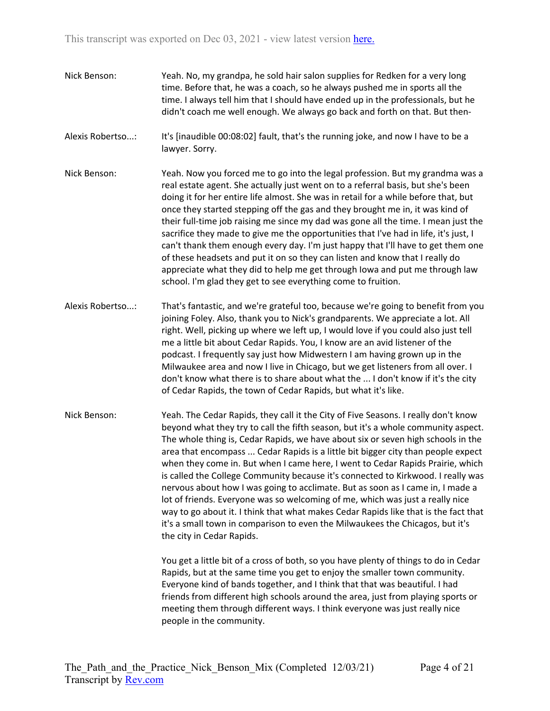- Nick Benson: Yeah. No, my grandpa, he sold hair salon supplies for Redken for a very long time. Before that, he was a coach, so he always pushed me in sports all the time. I always tell him that I should have ended up in the professionals, but he didn't coach me well enough. We always go back and forth on that. But then-
- Alexis Robertso...: It's [inaudible 00:08:02] fault, that's the running joke, and now I have to be a lawyer. Sorry.
- Nick Benson: Yeah. Now you forced me to go into the legal profession. But my grandma was a real estate agent. She actually just went on to a referral basis, but she's been doing it for her entire life almost. She was in retail for a while before that, but once they started stepping off the gas and they brought me in, it was kind of their full-time job raising me since my dad was gone all the time. I mean just the sacrifice they made to give me the opportunities that I've had in life, it's just, I can't thank them enough every day. I'm just happy that I'll have to get them one of these headsets and put it on so they can listen and know that I really do appreciate what they did to help me get through Iowa and put me through law school. I'm glad they get to see everything come to fruition.
- Alexis Robertso...: That's fantastic, and we're grateful too, because we're going to benefit from you joining Foley. Also, thank you to Nick's grandparents. We appreciate a lot. All right. Well, picking up where we left up, I would love if you could also just tell me a little bit about Cedar Rapids. You, I know are an avid listener of the podcast. I frequently say just how Midwestern I am having grown up in the Milwaukee area and now I live in Chicago, but we get listeners from all over. I don't know what there is to share about what the ... I don't know if it's the city of Cedar Rapids, the town of Cedar Rapids, but what it's like.
- Nick Benson: Yeah. The Cedar Rapids, they call it the City of Five Seasons. I really don't know beyond what they try to call the fifth season, but it's a whole community aspect. The whole thing is, Cedar Rapids, we have about six or seven high schools in the area that encompass ... Cedar Rapids is a little bit bigger city than people expect when they come in. But when I came here, I went to Cedar Rapids Prairie, which is called the College Community because it's connected to Kirkwood. I really was nervous about how I was going to acclimate. But as soon as I came in, I made a lot of friends. Everyone was so welcoming of me, which was just a really nice way to go about it. I think that what makes Cedar Rapids like that is the fact that it's a small town in comparison to even the Milwaukees the Chicagos, but it's the city in Cedar Rapids.

You get a little bit of a cross of both, so you have plenty of things to do in Cedar Rapids, but at the same time you get to enjoy the smaller town community. Everyone kind of bands together, and I think that that was beautiful. I had friends from different high schools around the area, just from playing sports or meeting them through different ways. I think everyone was just really nice people in the community.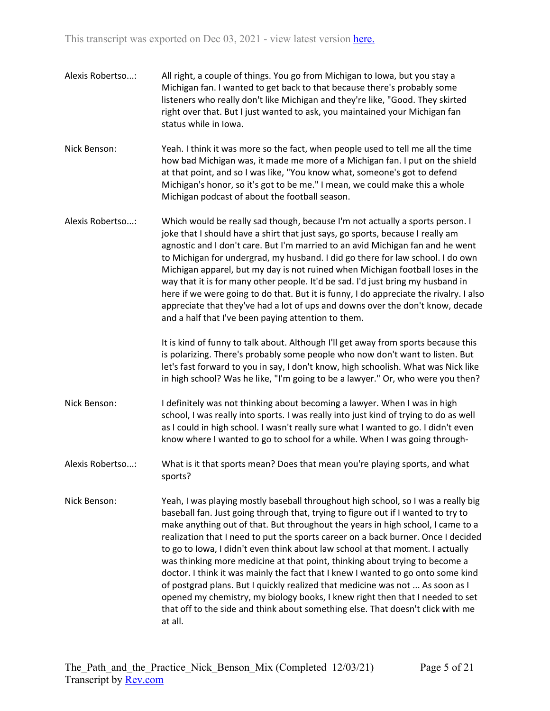- Alexis Robertso...: All right, a couple of things. You go from Michigan to Iowa, but you stay a Michigan fan. I wanted to get back to that because there's probably some listeners who really don't like Michigan and they're like, "Good. They skirted right over that. But I just wanted to ask, you maintained your Michigan fan status while in Iowa.
- Nick Benson: Yeah. I think it was more so the fact, when people used to tell me all the time how bad Michigan was, it made me more of a Michigan fan. I put on the shield at that point, and so I was like, "You know what, someone's got to defend Michigan's honor, so it's got to be me." I mean, we could make this a whole Michigan podcast of about the football season.
- Alexis Robertso...: Which would be really sad though, because I'm not actually a sports person. I joke that I should have a shirt that just says, go sports, because I really am agnostic and I don't care. But I'm married to an avid Michigan fan and he went to Michigan for undergrad, my husband. I did go there for law school. I do own Michigan apparel, but my day is not ruined when Michigan football loses in the way that it is for many other people. It'd be sad. I'd just bring my husband in here if we were going to do that. But it is funny, I do appreciate the rivalry. I also appreciate that they've had a lot of ups and downs over the don't know, decade and a half that I've been paying attention to them.

It is kind of funny to talk about. Although I'll get away from sports because this is polarizing. There's probably some people who now don't want to listen. But let's fast forward to you in say, I don't know, high schoolish. What was Nick like in high school? Was he like, "I'm going to be a lawyer." Or, who were you then?

- Nick Benson: I definitely was not thinking about becoming a lawyer. When I was in high school, I was really into sports. I was really into just kind of trying to do as well as I could in high school. I wasn't really sure what I wanted to go. I didn't even know where I wanted to go to school for a while. When I was going through-
- Alexis Robertso...: What is it that sports mean? Does that mean you're playing sports, and what sports?
- Nick Benson: Yeah, I was playing mostly baseball throughout high school, so I was a really big baseball fan. Just going through that, trying to figure out if I wanted to try to make anything out of that. But throughout the years in high school, I came to a realization that I need to put the sports career on a back burner. Once I decided to go to Iowa, I didn't even think about law school at that moment. I actually was thinking more medicine at that point, thinking about trying to become a doctor. I think it was mainly the fact that I knew I wanted to go onto some kind of postgrad plans. But I quickly realized that medicine was not ... As soon as I opened my chemistry, my biology books, I knew right then that I needed to set that off to the side and think about something else. That doesn't click with me at all.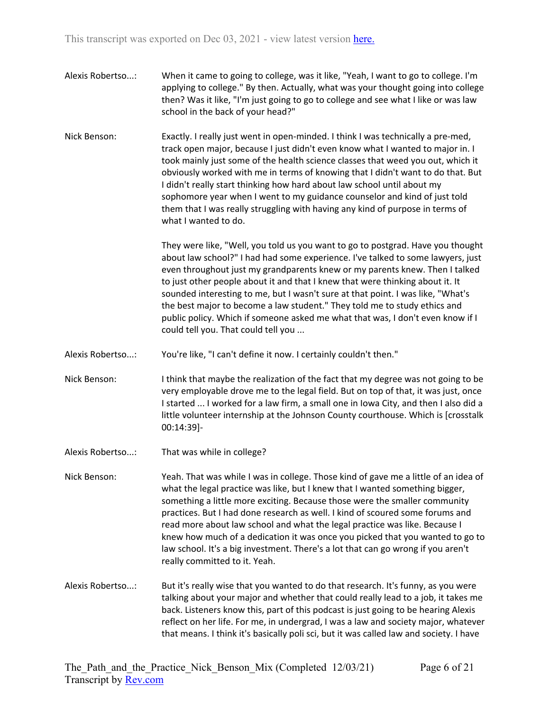- Alexis Robertso...: When it came to going to college, was it like, "Yeah, I want to go to college. I'm applying to college." By then. Actually, what was your thought going into college then? Was it like, "I'm just going to go to college and see what I like or was law school in the back of your head?"
- Nick Benson: Exactly. I really just went in open-minded. I think I was technically a pre-med, track open major, because I just didn't even know what I wanted to major in. I took mainly just some of the health science classes that weed you out, which it obviously worked with me in terms of knowing that I didn't want to do that. But I didn't really start thinking how hard about law school until about my sophomore year when I went to my guidance counselor and kind of just told them that I was really struggling with having any kind of purpose in terms of what I wanted to do.

They were like, "Well, you told us you want to go to postgrad. Have you thought about law school?" I had had some experience. I've talked to some lawyers, just even throughout just my grandparents knew or my parents knew. Then I talked to just other people about it and that I knew that were thinking about it. It sounded interesting to me, but I wasn't sure at that point. I was like, "What's the best major to become a law student." They told me to study ethics and public policy. Which if someone asked me what that was, I don't even know if I could tell you. That could tell you ...

- Alexis Robertso...: You're like, "I can't define it now. I certainly couldn't then."
- Nick Benson: I think that maybe the realization of the fact that my degree was not going to be very employable drove me to the legal field. But on top of that, it was just, once I started ... I worked for a law firm, a small one in Iowa City, and then I also did a little volunteer internship at the Johnson County courthouse. Which is [crosstalk 00:14:39]-
- Alexis Robertso...: That was while in college?

Nick Benson: Yeah. That was while I was in college. Those kind of gave me a little of an idea of what the legal practice was like, but I knew that I wanted something bigger, something a little more exciting. Because those were the smaller community practices. But I had done research as well. I kind of scoured some forums and read more about law school and what the legal practice was like. Because I knew how much of a dedication it was once you picked that you wanted to go to law school. It's a big investment. There's a lot that can go wrong if you aren't really committed to it. Yeah.

Alexis Robertso...: But it's really wise that you wanted to do that research. It's funny, as you were talking about your major and whether that could really lead to a job, it takes me back. Listeners know this, part of this podcast is just going to be hearing Alexis reflect on her life. For me, in undergrad, I was a law and society major, whatever that means. I think it's basically poli sci, but it was called law and society. I have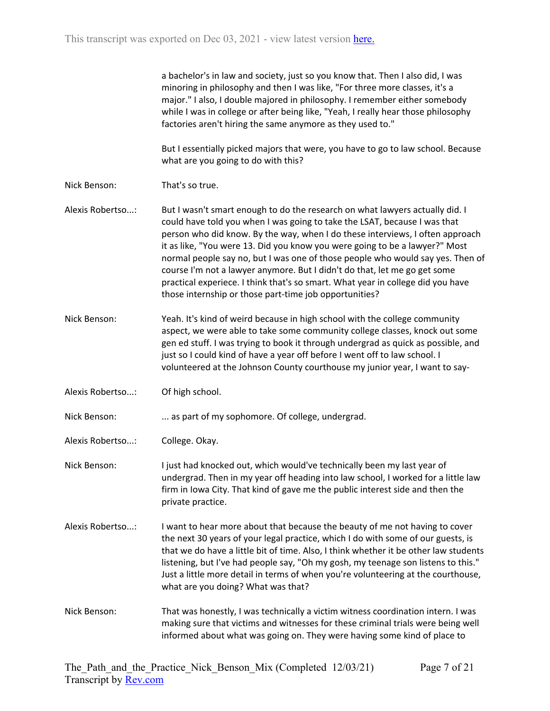|                  | a bachelor's in law and society, just so you know that. Then I also did, I was<br>minoring in philosophy and then I was like, "For three more classes, it's a<br>major." I also, I double majored in philosophy. I remember either somebody<br>while I was in college or after being like, "Yeah, I really hear those philosophy<br>factories aren't hiring the same anymore as they used to."                                                                                                                                                                                                                                        |
|------------------|---------------------------------------------------------------------------------------------------------------------------------------------------------------------------------------------------------------------------------------------------------------------------------------------------------------------------------------------------------------------------------------------------------------------------------------------------------------------------------------------------------------------------------------------------------------------------------------------------------------------------------------|
|                  | But I essentially picked majors that were, you have to go to law school. Because<br>what are you going to do with this?                                                                                                                                                                                                                                                                                                                                                                                                                                                                                                               |
| Nick Benson:     | That's so true.                                                                                                                                                                                                                                                                                                                                                                                                                                                                                                                                                                                                                       |
| Alexis Robertso: | But I wasn't smart enough to do the research on what lawyers actually did. I<br>could have told you when I was going to take the LSAT, because I was that<br>person who did know. By the way, when I do these interviews, I often approach<br>it as like, "You were 13. Did you know you were going to be a lawyer?" Most<br>normal people say no, but I was one of those people who would say yes. Then of<br>course I'm not a lawyer anymore. But I didn't do that, let me go get some<br>practical experiece. I think that's so smart. What year in college did you have<br>those internship or those part-time job opportunities? |
| Nick Benson:     | Yeah. It's kind of weird because in high school with the college community<br>aspect, we were able to take some community college classes, knock out some<br>gen ed stuff. I was trying to book it through undergrad as quick as possible, and<br>just so I could kind of have a year off before I went off to law school. I<br>volunteered at the Johnson County courthouse my junior year, I want to say-                                                                                                                                                                                                                           |
| Alexis Robertso: | Of high school.                                                                                                                                                                                                                                                                                                                                                                                                                                                                                                                                                                                                                       |
| Nick Benson:     | as part of my sophomore. Of college, undergrad.                                                                                                                                                                                                                                                                                                                                                                                                                                                                                                                                                                                       |
| Alexis Robertso: | College. Okay.                                                                                                                                                                                                                                                                                                                                                                                                                                                                                                                                                                                                                        |
| Nick Benson:     | I just had knocked out, which would've technically been my last year of<br>undergrad. Then in my year off heading into law school, I worked for a little law<br>firm in Iowa City. That kind of gave me the public interest side and then the<br>private practice.                                                                                                                                                                                                                                                                                                                                                                    |
| Alexis Robertso: | I want to hear more about that because the beauty of me not having to cover<br>the next 30 years of your legal practice, which I do with some of our guests, is<br>that we do have a little bit of time. Also, I think whether it be other law students<br>listening, but I've had people say, "Oh my gosh, my teenage son listens to this."<br>Just a little more detail in terms of when you're volunteering at the courthouse,<br>what are you doing? What was that?                                                                                                                                                               |
| Nick Benson:     | That was honestly, I was technically a victim witness coordination intern. I was<br>making sure that victims and witnesses for these criminal trials were being well<br>informed about what was going on. They were having some kind of place to                                                                                                                                                                                                                                                                                                                                                                                      |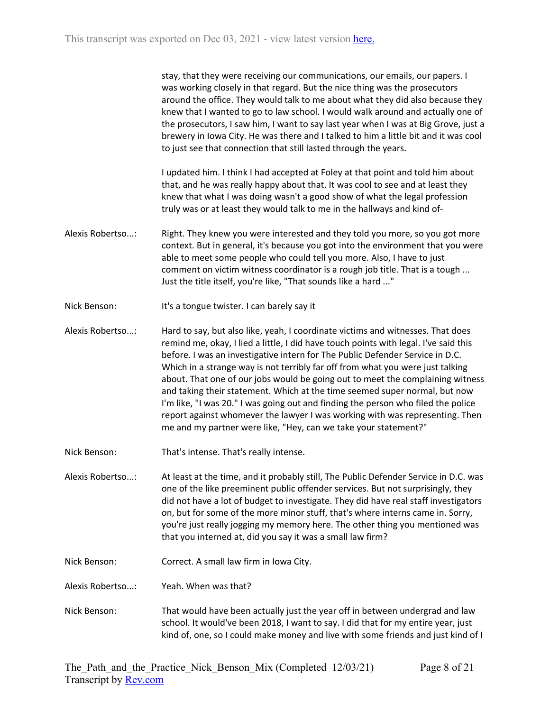| stay, that they were receiving our communications, our emails, our papers. I        |
|-------------------------------------------------------------------------------------|
| was working closely in that regard. But the nice thing was the prosecutors          |
| around the office. They would talk to me about what they did also because they      |
| knew that I wanted to go to law school. I would walk around and actually one of     |
| the prosecutors, I saw him, I want to say last year when I was at Big Grove, just a |
| brewery in Iowa City. He was there and I talked to him a little bit and it was cool |
| to just see that connection that still lasted through the years.                    |

I updated him. I think I had accepted at Foley at that point and told him about that, and he was really happy about that. It was cool to see and at least they knew that what I was doing wasn't a good show of what the legal profession truly was or at least they would talk to me in the hallways and kind of-

- Alexis Robertso...: Right. They knew you were interested and they told you more, so you got more context. But in general, it's because you got into the environment that you were able to meet some people who could tell you more. Also, I have to just comment on victim witness coordinator is a rough job title. That is a tough ... Just the title itself, you're like, "That sounds like a hard ..."
- Nick Benson: It's a tongue twister. I can barely say it
- Alexis Robertso...: Hard to say, but also like, yeah, I coordinate victims and witnesses. That does remind me, okay, I lied a little, I did have touch points with legal. I've said this before. I was an investigative intern for The Public Defender Service in D.C. Which in a strange way is not terribly far off from what you were just talking about. That one of our jobs would be going out to meet the complaining witness and taking their statement. Which at the time seemed super normal, but now I'm like, "I was 20." I was going out and finding the person who filed the police report against whomever the lawyer I was working with was representing. Then me and my partner were like, "Hey, can we take your statement?"
- Nick Benson: That's intense. That's really intense.

Alexis Robertso...: At least at the time, and it probably still, The Public Defender Service in D.C. was one of the like preeminent public offender services. But not surprisingly, they did not have a lot of budget to investigate. They did have real staff investigators on, but for some of the more minor stuff, that's where interns came in. Sorry, you're just really jogging my memory here. The other thing you mentioned was that you interned at, did you say it was a small law firm?

- Nick Benson: Correct. A small law firm in Iowa City.
- Alexis Robertso...: Yeah. When was that?
- Nick Benson: That would have been actually just the year off in between undergrad and law school. It would've been 2018, I want to say. I did that for my entire year, just kind of, one, so I could make money and live with some friends and just kind of I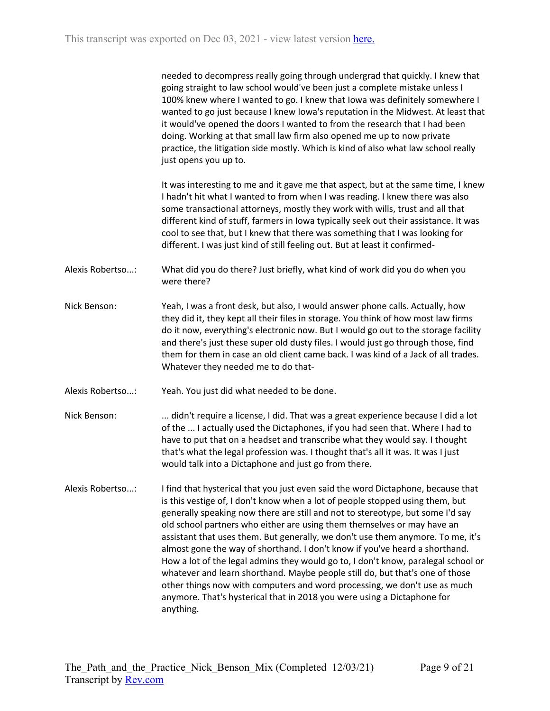|                  | needed to decompress really going through undergrad that quickly. I knew that<br>going straight to law school would've been just a complete mistake unless I<br>100% knew where I wanted to go. I knew that Iowa was definitely somewhere I<br>wanted to go just because I knew Iowa's reputation in the Midwest. At least that<br>it would've opened the doors I wanted to from the research that I had been<br>doing. Working at that small law firm also opened me up to now private<br>practice, the litigation side mostly. Which is kind of also what law school really<br>just opens you up to.                                                                                                                                                                                                                                     |
|------------------|--------------------------------------------------------------------------------------------------------------------------------------------------------------------------------------------------------------------------------------------------------------------------------------------------------------------------------------------------------------------------------------------------------------------------------------------------------------------------------------------------------------------------------------------------------------------------------------------------------------------------------------------------------------------------------------------------------------------------------------------------------------------------------------------------------------------------------------------|
|                  | It was interesting to me and it gave me that aspect, but at the same time, I knew<br>I hadn't hit what I wanted to from when I was reading. I knew there was also<br>some transactional attorneys, mostly they work with wills, trust and all that<br>different kind of stuff, farmers in Iowa typically seek out their assistance. It was<br>cool to see that, but I knew that there was something that I was looking for<br>different. I was just kind of still feeling out. But at least it confirmed-                                                                                                                                                                                                                                                                                                                                  |
| Alexis Robertso: | What did you do there? Just briefly, what kind of work did you do when you<br>were there?                                                                                                                                                                                                                                                                                                                                                                                                                                                                                                                                                                                                                                                                                                                                                  |
| Nick Benson:     | Yeah, I was a front desk, but also, I would answer phone calls. Actually, how<br>they did it, they kept all their files in storage. You think of how most law firms<br>do it now, everything's electronic now. But I would go out to the storage facility<br>and there's just these super old dusty files. I would just go through those, find<br>them for them in case an old client came back. I was kind of a Jack of all trades.<br>Whatever they needed me to do that-                                                                                                                                                                                                                                                                                                                                                                |
| Alexis Robertso: | Yeah. You just did what needed to be done.                                                                                                                                                                                                                                                                                                                                                                                                                                                                                                                                                                                                                                                                                                                                                                                                 |
| Nick Benson:     | didn't require a license, I did. That was a great experience because I did a lot<br>of the  I actually used the Dictaphones, if you had seen that. Where I had to<br>have to put that on a headset and transcribe what they would say. I thought<br>that's what the legal profession was. I thought that's all it was. It was I just<br>would talk into a Dictaphone and just go from there.                                                                                                                                                                                                                                                                                                                                                                                                                                               |
| Alexis Robertso: | I find that hysterical that you just even said the word Dictaphone, because that<br>is this vestige of, I don't know when a lot of people stopped using them, but<br>generally speaking now there are still and not to stereotype, but some I'd say<br>old school partners who either are using them themselves or may have an<br>assistant that uses them. But generally, we don't use them anymore. To me, it's<br>almost gone the way of shorthand. I don't know if you've heard a shorthand.<br>How a lot of the legal admins they would go to, I don't know, paralegal school or<br>whatever and learn shorthand. Maybe people still do, but that's one of those<br>other things now with computers and word processing, we don't use as much<br>anymore. That's hysterical that in 2018 you were using a Dictaphone for<br>anything. |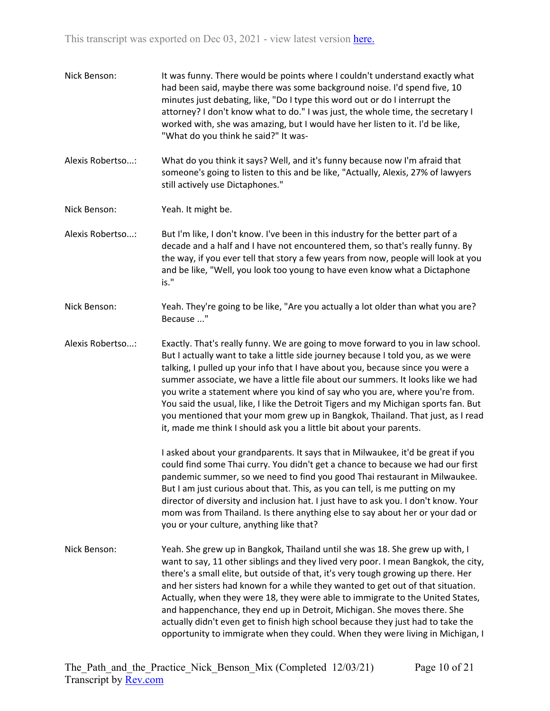| Nick Benson: | It was funny. There would be points where I couldn't understand exactly what    |
|--------------|---------------------------------------------------------------------------------|
|              | had been said, maybe there was some background noise. I'd spend five, 10        |
|              | minutes just debating, like, "Do I type this word out or do I interrupt the     |
|              | attorney? I don't know what to do." I was just, the whole time, the secretary I |
|              | worked with, she was amazing, but I would have her listen to it. I'd be like,   |
|              | "What do you think he said?" It was-                                            |

Alexis Robertso...: What do you think it says? Well, and it's funny because now I'm afraid that someone's going to listen to this and be like, "Actually, Alexis, 27% of lawyers still actively use Dictaphones."

Nick Benson: Yeah. It might be.

Alexis Robertso...: But I'm like, I don't know. I've been in this industry for the better part of a decade and a half and I have not encountered them, so that's really funny. By the way, if you ever tell that story a few years from now, people will look at you and be like, "Well, you look too young to have even know what a Dictaphone is."

Nick Benson: Yeah. They're going to be like, "Are you actually a lot older than what you are? Because ..."

Alexis Robertso...: Exactly. That's really funny. We are going to move forward to you in law school. But I actually want to take a little side journey because I told you, as we were talking, I pulled up your info that I have about you, because since you were a summer associate, we have a little file about our summers. It looks like we had you write a statement where you kind of say who you are, where you're from. You said the usual, like, I like the Detroit Tigers and my Michigan sports fan. But you mentioned that your mom grew up in Bangkok, Thailand. That just, as I read it, made me think I should ask you a little bit about your parents.

> I asked about your grandparents. It says that in Milwaukee, it'd be great if you could find some Thai curry. You didn't get a chance to because we had our first pandemic summer, so we need to find you good Thai restaurant in Milwaukee. But I am just curious about that. This, as you can tell, is me putting on my director of diversity and inclusion hat. I just have to ask you. I don't know. Your mom was from Thailand. Is there anything else to say about her or your dad or you or your culture, anything like that?

Nick Benson: Yeah. She grew up in Bangkok, Thailand until she was 18. She grew up with, I want to say, 11 other siblings and they lived very poor. I mean Bangkok, the city, there's a small elite, but outside of that, it's very tough growing up there. Her and her sisters had known for a while they wanted to get out of that situation. Actually, when they were 18, they were able to immigrate to the United States, and happenchance, they end up in Detroit, Michigan. She moves there. She actually didn't even get to finish high school because they just had to take the opportunity to immigrate when they could. When they were living in Michigan, I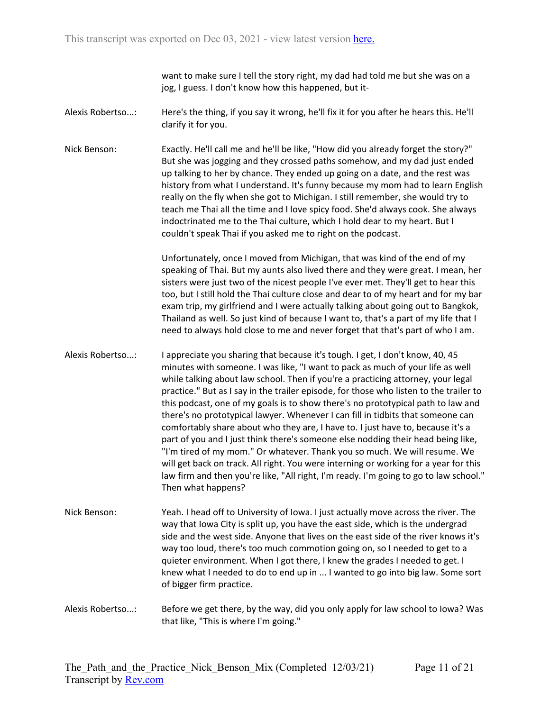want to make sure I tell the story right, my dad had told me but she was on a jog, I guess. I don't know how this happened, but it-

- Alexis Robertso...: Here's the thing, if you say it wrong, he'll fix it for you after he hears this. He'll clarify it for you.
- Nick Benson: Exactly. He'll call me and he'll be like, "How did you already forget the story?" But she was jogging and they crossed paths somehow, and my dad just ended up talking to her by chance. They ended up going on a date, and the rest was history from what I understand. It's funny because my mom had to learn English really on the fly when she got to Michigan. I still remember, she would try to teach me Thai all the time and I love spicy food. She'd always cook. She always indoctrinated me to the Thai culture, which I hold dear to my heart. But I couldn't speak Thai if you asked me to right on the podcast.

Unfortunately, once I moved from Michigan, that was kind of the end of my speaking of Thai. But my aunts also lived there and they were great. I mean, her sisters were just two of the nicest people I've ever met. They'll get to hear this too, but I still hold the Thai culture close and dear to of my heart and for my bar exam trip, my girlfriend and I were actually talking about going out to Bangkok, Thailand as well. So just kind of because I want to, that's a part of my life that I need to always hold close to me and never forget that that's part of who I am.

- Alexis Robertso...: I appreciate you sharing that because it's tough. I get, I don't know, 40, 45 minutes with someone. I was like, "I want to pack as much of your life as well while talking about law school. Then if you're a practicing attorney, your legal practice." But as I say in the trailer episode, for those who listen to the trailer to this podcast, one of my goals is to show there's no prototypical path to law and there's no prototypical lawyer. Whenever I can fill in tidbits that someone can comfortably share about who they are, I have to. I just have to, because it's a part of you and I just think there's someone else nodding their head being like, "I'm tired of my mom." Or whatever. Thank you so much. We will resume. We will get back on track. All right. You were interning or working for a year for this law firm and then you're like, "All right, I'm ready. I'm going to go to law school." Then what happens?
- Nick Benson: Yeah. I head off to University of Iowa. I just actually move across the river. The way that Iowa City is split up, you have the east side, which is the undergrad side and the west side. Anyone that lives on the east side of the river knows it's way too loud, there's too much commotion going on, so I needed to get to a quieter environment. When I got there, I knew the grades I needed to get. I knew what I needed to do to end up in ... I wanted to go into big law. Some sort of bigger firm practice.
- Alexis Robertso...: Before we get there, by the way, did you only apply for law school to Iowa? Was that like, "This is where I'm going."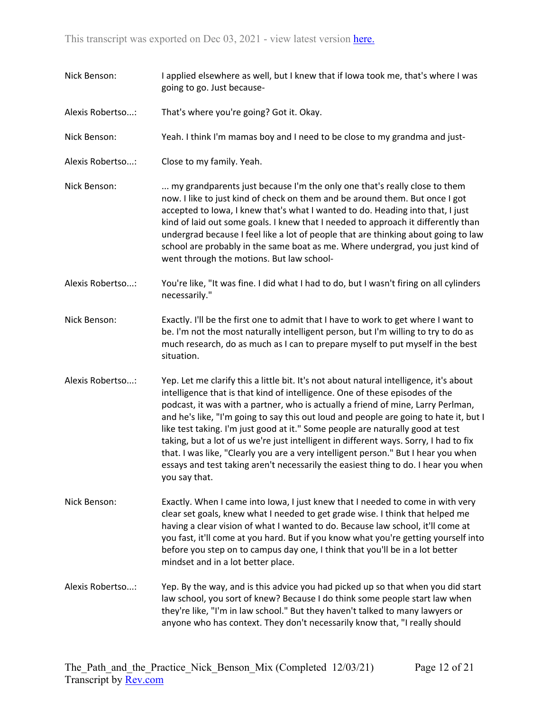Nick Benson: I applied elsewhere as well, but I knew that if Iowa took me, that's where I was going to go. Just because-Alexis Robertso...: That's where you're going? Got it. Okay. Nick Benson: Yeah. I think I'm mamas boy and I need to be close to my grandma and just-Alexis Robertso...: Close to my family. Yeah. Nick Benson: ... my grandparents just because I'm the only one that's really close to them now. I like to just kind of check on them and be around them. But once I got accepted to Iowa, I knew that's what I wanted to do. Heading into that, I just kind of laid out some goals. I knew that I needed to approach it differently than undergrad because I feel like a lot of people that are thinking about going to law school are probably in the same boat as me. Where undergrad, you just kind of went through the motions. But law school-Alexis Robertso...: You're like, "It was fine. I did what I had to do, but I wasn't firing on all cylinders necessarily." Nick Benson: Exactly. I'll be the first one to admit that I have to work to get where I want to be. I'm not the most naturally intelligent person, but I'm willing to try to do as much research, do as much as I can to prepare myself to put myself in the best situation. Alexis Robertso...: Yep. Let me clarify this a little bit. It's not about natural intelligence, it's about intelligence that is that kind of intelligence. One of these episodes of the podcast, it was with a partner, who is actually a friend of mine, Larry Perlman, and he's like, "I'm going to say this out loud and people are going to hate it, but I like test taking. I'm just good at it." Some people are naturally good at test taking, but a lot of us we're just intelligent in different ways. Sorry, I had to fix that. I was like, "Clearly you are a very intelligent person." But I hear you when essays and test taking aren't necessarily the easiest thing to do. I hear you when you say that. Nick Benson: Exactly. When I came into Iowa, I just knew that I needed to come in with very clear set goals, knew what I needed to get grade wise. I think that helped me having a clear vision of what I wanted to do. Because law school, it'll come at you fast, it'll come at you hard. But if you know what you're getting yourself into before you step on to campus day one, I think that you'll be in a lot better mindset and in a lot better place. Alexis Robertso...: Yep. By the way, and is this advice you had picked up so that when you did start law school, you sort of knew? Because I do think some people start law when they're like, "I'm in law school." But they haven't talked to many lawyers or anyone who has context. They don't necessarily know that, "I really should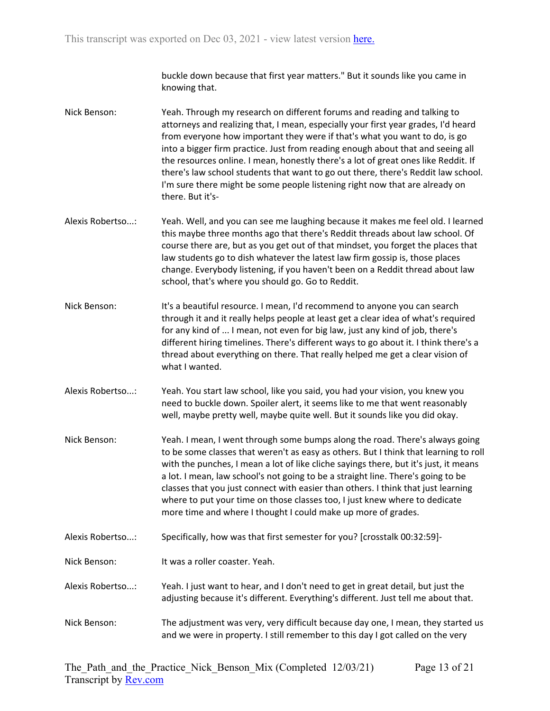buckle down because that first year matters." But it sounds like you came in knowing that.

- Nick Benson: Yeah. Through my research on different forums and reading and talking to attorneys and realizing that, I mean, especially your first year grades, I'd heard from everyone how important they were if that's what you want to do, is go into a bigger firm practice. Just from reading enough about that and seeing all the resources online. I mean, honestly there's a lot of great ones like Reddit. If there's law school students that want to go out there, there's Reddit law school. I'm sure there might be some people listening right now that are already on there. But it's-
- Alexis Robertso...: Yeah. Well, and you can see me laughing because it makes me feel old. I learned this maybe three months ago that there's Reddit threads about law school. Of course there are, but as you get out of that mindset, you forget the places that law students go to dish whatever the latest law firm gossip is, those places change. Everybody listening, if you haven't been on a Reddit thread about law school, that's where you should go. Go to Reddit.
- Nick Benson: It's a beautiful resource. I mean, I'd recommend to anyone you can search through it and it really helps people at least get a clear idea of what's required for any kind of ... I mean, not even for big law, just any kind of job, there's different hiring timelines. There's different ways to go about it. I think there's a thread about everything on there. That really helped me get a clear vision of what I wanted.
- Alexis Robertso...: Yeah. You start law school, like you said, you had your vision, you knew you need to buckle down. Spoiler alert, it seems like to me that went reasonably well, maybe pretty well, maybe quite well. But it sounds like you did okay.
- Nick Benson: Yeah. I mean, I went through some bumps along the road. There's always going to be some classes that weren't as easy as others. But I think that learning to roll with the punches, I mean a lot of like cliche sayings there, but it's just, it means a lot. I mean, law school's not going to be a straight line. There's going to be classes that you just connect with easier than others. I think that just learning where to put your time on those classes too, I just knew where to dedicate more time and where I thought I could make up more of grades.
- Alexis Robertso...: Specifically, how was that first semester for you? [crosstalk 00:32:59]-
- Nick Benson: It was a roller coaster. Yeah.
- Alexis Robertso...: Yeah. I just want to hear, and I don't need to get in great detail, but just the adjusting because it's different. Everything's different. Just tell me about that.
- Nick Benson: The adjustment was very, very difficult because day one, I mean, they started us and we were in property. I still remember to this day I got called on the very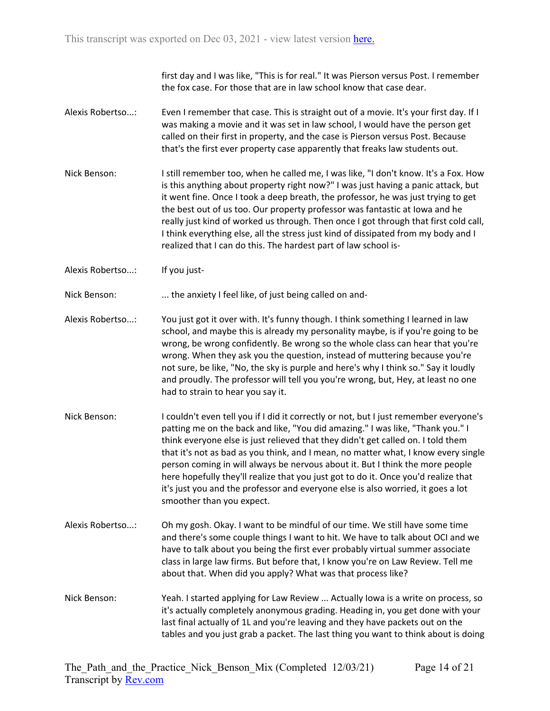first day and I was like, "This is for real." It was Pierson versus Post. I remember the fox case. For those that are in law school know that case dear.

- Alexis Robertso...: Even I remember that case. This is straight out of a movie. It's your first day. If I was making a movie and it was set in law school, I would have the person get called on their first in property, and the case is Pierson versus Post. Because that's the first ever property case apparently that freaks law students out.
- Nick Benson: I still remember too, when he called me, I was like, "I don't know. It's a Fox. How is this anything about property right now?" I was just having a panic attack, but it went fine. Once I took a deep breath, the professor, he was just trying to get the best out of us too. Our property professor was fantastic at Iowa and he really just kind of worked us through. Then once I got through that first cold call, I think everything else, all the stress just kind of dissipated from my body and I realized that I can do this. The hardest part of law school is-
- Alexis Robertso...: If you just-

Nick Benson: ... the anxiety I feel like, of just being called on and-

- Alexis Robertso...: You just got it over with. It's funny though. I think something I learned in law school, and maybe this is already my personality maybe, is if you're going to be wrong, be wrong confidently. Be wrong so the whole class can hear that you're wrong. When they ask you the question, instead of muttering because you're not sure, be like, "No, the sky is purple and here's why I think so." Say it loudly and proudly. The professor will tell you you're wrong, but, Hey, at least no one had to strain to hear you say it.
- Nick Benson: I couldn't even tell you if I did it correctly or not, but I just remember everyone's patting me on the back and like, "You did amazing." I was like, "Thank you." I think everyone else is just relieved that they didn't get called on. I told them that it's not as bad as you think, and I mean, no matter what, I know every single person coming in will always be nervous about it. But I think the more people here hopefully they'll realize that you just got to do it. Once you'd realize that it's just you and the professor and everyone else is also worried, it goes a lot smoother than you expect.
- Alexis Robertso...: Oh my gosh. Okay. I want to be mindful of our time. We still have some time and there's some couple things I want to hit. We have to talk about OCI and we have to talk about you being the first ever probably virtual summer associate class in large law firms. But before that, I know you're on Law Review. Tell me about that. When did you apply? What was that process like?
- Nick Benson: Yeah. I started applying for Law Review ... Actually Iowa is a write on process, so it's actually completely anonymous grading. Heading in, you get done with your last final actually of 1L and you're leaving and they have packets out on the tables and you just grab a packet. The last thing you want to think about is doing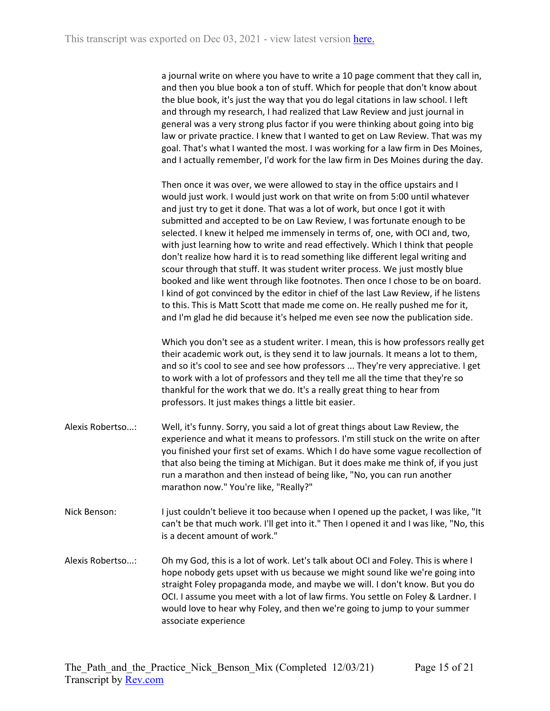a journal write on where you have to write a 10 page comment that they call in, and then you blue book a ton of stuff. Which for people that don't know about the blue book, it's just the way that you do legal citations in law school. I left and through my research, I had realized that Law Review and just journal in general was a very strong plus factor if you were thinking about going into big law or private practice. I knew that I wanted to get on Law Review. That was my goal. That's what I wanted the most. I was working for a law firm in Des Moines, and I actually remember, I'd work for the law firm in Des Moines during the day.

Then once it was over, we were allowed to stay in the office upstairs and I would just work. I would just work on that write on from 5:00 until whatever and just try to get it done. That was a lot of work, but once I got it with submitted and accepted to be on Law Review, I was fortunate enough to be selected. I knew it helped me immensely in terms of, one, with OCI and, two, with just learning how to write and read effectively. Which I think that people don't realize how hard it is to read something like different legal writing and scour through that stuff. It was student writer process. We just mostly blue booked and like went through like footnotes. Then once I chose to be on board. I kind of got convinced by the editor in chief of the last Law Review, if he listens to this. This is Matt Scott that made me come on. He really pushed me for it, and I'm glad he did because it's helped me even see now the publication side.

Which you don't see as a student writer. I mean, this is how professors really get their academic work out, is they send it to law journals. It means a lot to them, and so it's cool to see and see how professors ... They're very appreciative. I get to work with a lot of professors and they tell me all the time that they're so thankful for the work that we do. It's a really great thing to hear from professors. It just makes things a little bit easier.

- Alexis Robertso...: Well, it's funny. Sorry, you said a lot of great things about Law Review, the experience and what it means to professors. I'm still stuck on the write on after you finished your first set of exams. Which I do have some vague recollection of that also being the timing at Michigan. But it does make me think of, if you just run a marathon and then instead of being like, "No, you can run another marathon now." You're like, "Really?"
- Nick Benson: I just couldn't believe it too because when I opened up the packet, I was like, "It can't be that much work. I'll get into it." Then I opened it and I was like, "No, this is a decent amount of work."
- Alexis Robertso...: Oh my God, this is a lot of work. Let's talk about OCI and Foley. This is where I hope nobody gets upset with us because we might sound like we're going into straight Foley propaganda mode, and maybe we will. I don't know. But you do OCI. I assume you meet with a lot of law firms. You settle on Foley & Lardner. I would love to hear why Foley, and then we're going to jump to your summer associate experience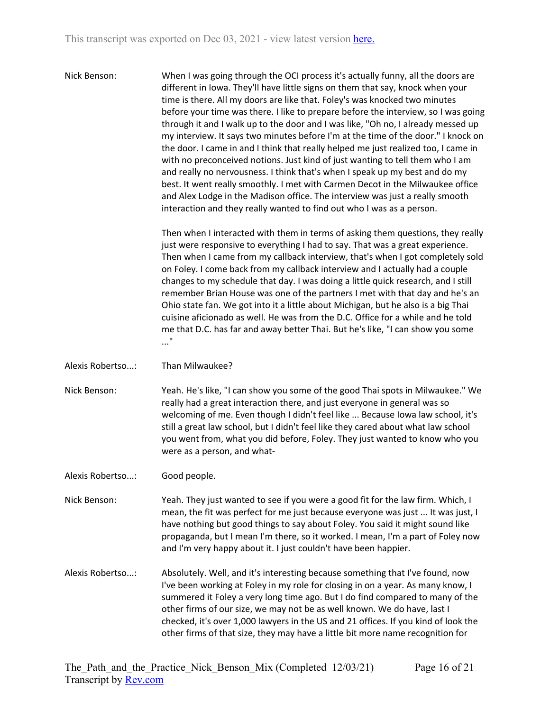Nick Benson: When I was going through the OCI process it's actually funny, all the doors are different in Iowa. They'll have little signs on them that say, knock when your time is there. All my doors are like that. Foley's was knocked two minutes before your time was there. I like to prepare before the interview, so I was going through it and I walk up to the door and I was like, "Oh no, I already messed up my interview. It says two minutes before I'm at the time of the door." I knock on the door. I came in and I think that really helped me just realized too, I came in with no preconceived notions. Just kind of just wanting to tell them who I am and really no nervousness. I think that's when I speak up my best and do my best. It went really smoothly. I met with Carmen Decot in the Milwaukee office and Alex Lodge in the Madison office. The interview was just a really smooth interaction and they really wanted to find out who I was as a person.

> Then when I interacted with them in terms of asking them questions, they really just were responsive to everything I had to say. That was a great experience. Then when I came from my callback interview, that's when I got completely sold on Foley. I come back from my callback interview and I actually had a couple changes to my schedule that day. I was doing a little quick research, and I still remember Brian House was one of the partners I met with that day and he's an Ohio state fan. We got into it a little about Michigan, but he also is a big Thai cuisine aficionado as well. He was from the D.C. Office for a while and he told me that D.C. has far and away better Thai. But he's like, "I can show you some ..."

Alexis Robertso...: Than Milwaukee?

Nick Benson: Yeah. He's like, "I can show you some of the good Thai spots in Milwaukee." We really had a great interaction there, and just everyone in general was so welcoming of me. Even though I didn't feel like ... Because Iowa law school, it's still a great law school, but I didn't feel like they cared about what law school you went from, what you did before, Foley. They just wanted to know who you were as a person, and what-

Alexis Robertso...: Good people.

Nick Benson: Yeah. They just wanted to see if you were a good fit for the law firm. Which, I mean, the fit was perfect for me just because everyone was just ... It was just, I have nothing but good things to say about Foley. You said it might sound like propaganda, but I mean I'm there, so it worked. I mean, I'm a part of Foley now and I'm very happy about it. I just couldn't have been happier.

Alexis Robertso...: Absolutely. Well, and it's interesting because something that I've found, now I've been working at Foley in my role for closing in on a year. As many know, I summered it Foley a very long time ago. But I do find compared to many of the other firms of our size, we may not be as well known. We do have, last I checked, it's over 1,000 lawyers in the US and 21 offices. If you kind of look the other firms of that size, they may have a little bit more name recognition for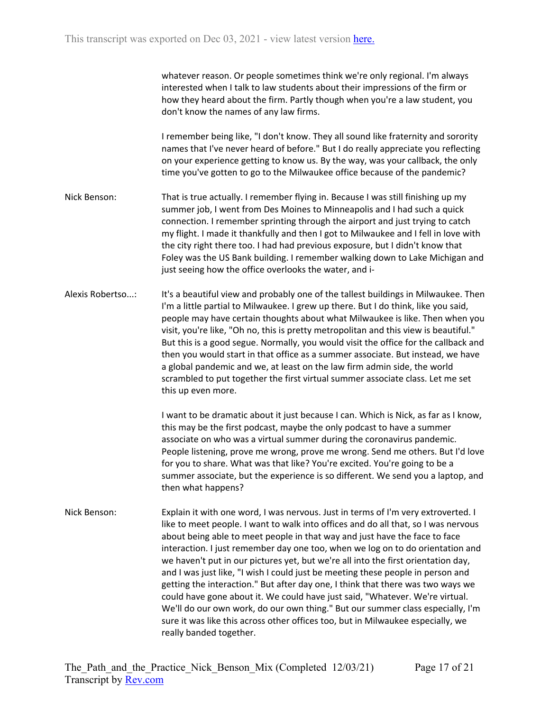whatever reason. Or people sometimes think we're only regional. I'm always interested when I talk to law students about their impressions of the firm or how they heard about the firm. Partly though when you're a law student, you don't know the names of any law firms.

I remember being like, "I don't know. They all sound like fraternity and sorority names that I've never heard of before." But I do really appreciate you reflecting on your experience getting to know us. By the way, was your callback, the only time you've gotten to go to the Milwaukee office because of the pandemic?

- Nick Benson: That is true actually. I remember flying in. Because I was still finishing up my summer job, I went from Des Moines to Minneapolis and I had such a quick connection. I remember sprinting through the airport and just trying to catch my flight. I made it thankfully and then I got to Milwaukee and I fell in love with the city right there too. I had had previous exposure, but I didn't know that Foley was the US Bank building. I remember walking down to Lake Michigan and just seeing how the office overlooks the water, and i-
- Alexis Robertso...: It's a beautiful view and probably one of the tallest buildings in Milwaukee. Then I'm a little partial to Milwaukee. I grew up there. But I do think, like you said, people may have certain thoughts about what Milwaukee is like. Then when you visit, you're like, "Oh no, this is pretty metropolitan and this view is beautiful." But this is a good segue. Normally, you would visit the office for the callback and then you would start in that office as a summer associate. But instead, we have a global pandemic and we, at least on the law firm admin side, the world scrambled to put together the first virtual summer associate class. Let me set this up even more.

I want to be dramatic about it just because I can. Which is Nick, as far as I know, this may be the first podcast, maybe the only podcast to have a summer associate on who was a virtual summer during the coronavirus pandemic. People listening, prove me wrong, prove me wrong. Send me others. But I'd love for you to share. What was that like? You're excited. You're going to be a summer associate, but the experience is so different. We send you a laptop, and then what happens?

Nick Benson: Explain it with one word, I was nervous. Just in terms of I'm very extroverted. I like to meet people. I want to walk into offices and do all that, so I was nervous about being able to meet people in that way and just have the face to face interaction. I just remember day one too, when we log on to do orientation and we haven't put in our pictures yet, but we're all into the first orientation day, and I was just like, "I wish I could just be meeting these people in person and getting the interaction." But after day one, I think that there was two ways we could have gone about it. We could have just said, "Whatever. We're virtual. We'll do our own work, do our own thing." But our summer class especially, I'm sure it was like this across other offices too, but in Milwaukee especially, we really banded together.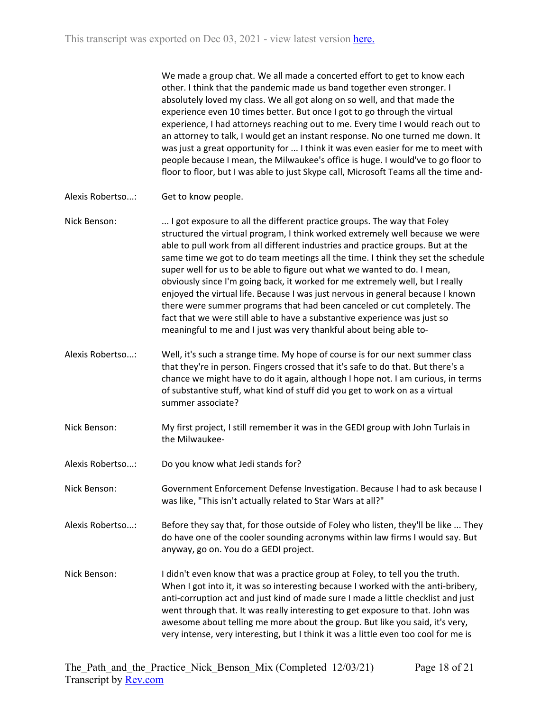We made a group chat. We all made a concerted effort to get to know each other. I think that the pandemic made us band together even stronger. I absolutely loved my class. We all got along on so well, and that made the experience even 10 times better. But once I got to go through the virtual experience, I had attorneys reaching out to me. Every time I would reach out to an attorney to talk, I would get an instant response. No one turned me down. It was just a great opportunity for ... I think it was even easier for me to meet with people because I mean, the Milwaukee's office is huge. I would've to go floor to floor to floor, but I was able to just Skype call, Microsoft Teams all the time and-

Alexis Robertso...: Get to know people.

Nick Benson: ... I got exposure to all the different practice groups. The way that Foley structured the virtual program, I think worked extremely well because we were able to pull work from all different industries and practice groups. But at the same time we got to do team meetings all the time. I think they set the schedule super well for us to be able to figure out what we wanted to do. I mean, obviously since I'm going back, it worked for me extremely well, but I really enjoyed the virtual life. Because I was just nervous in general because I known there were summer programs that had been canceled or cut completely. The fact that we were still able to have a substantive experience was just so meaningful to me and I just was very thankful about being able to-

- Alexis Robertso...: Well, it's such a strange time. My hope of course is for our next summer class that they're in person. Fingers crossed that it's safe to do that. But there's a chance we might have to do it again, although I hope not. I am curious, in terms of substantive stuff, what kind of stuff did you get to work on as a virtual summer associate?
- Nick Benson: My first project, I still remember it was in the GEDI group with John Turlais in the Milwaukee-
- Alexis Robertso...: Do you know what Jedi stands for?

Nick Benson: Government Enforcement Defense Investigation. Because I had to ask because I was like, "This isn't actually related to Star Wars at all?"

Alexis Robertso...: Before they say that, for those outside of Foley who listen, they'll be like ... They do have one of the cooler sounding acronyms within law firms I would say. But anyway, go on. You do a GEDI project.

Nick Benson: I didn't even know that was a practice group at Foley, to tell you the truth. When I got into it, it was so interesting because I worked with the anti-bribery, anti-corruption act and just kind of made sure I made a little checklist and just went through that. It was really interesting to get exposure to that. John was awesome about telling me more about the group. But like you said, it's very, very intense, very interesting, but I think it was a little even too cool for me is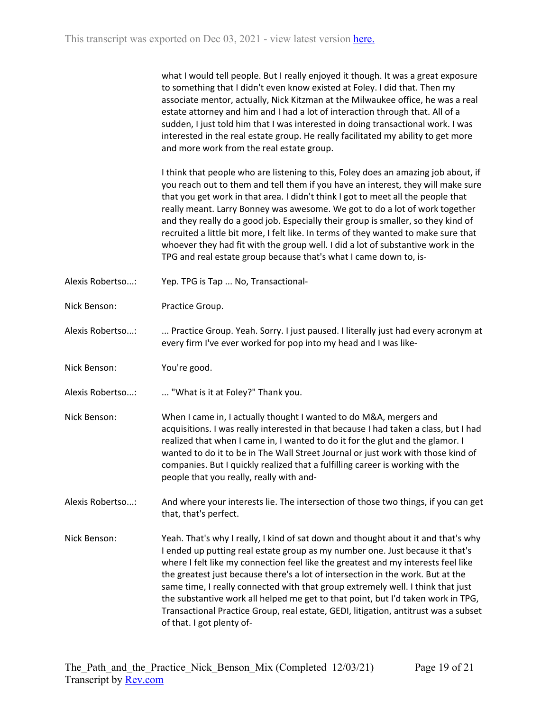what I would tell people. But I really enjoyed it though. It was a great exposure to something that I didn't even know existed at Foley. I did that. Then my associate mentor, actually, Nick Kitzman at the Milwaukee office, he was a real estate attorney and him and I had a lot of interaction through that. All of a sudden, I just told him that I was interested in doing transactional work. I was interested in the real estate group. He really facilitated my ability to get more and more work from the real estate group.

I think that people who are listening to this, Foley does an amazing job about, if you reach out to them and tell them if you have an interest, they will make sure that you get work in that area. I didn't think I got to meet all the people that really meant. Larry Bonney was awesome. We got to do a lot of work together and they really do a good job. Especially their group is smaller, so they kind of recruited a little bit more, I felt like. In terms of they wanted to make sure that whoever they had fit with the group well. I did a lot of substantive work in the TPG and real estate group because that's what I came down to, is-

- Alexis Robertso...: Yep. TPG is Tap ... No, Transactional-
- Nick Benson: Practice Group.

Alexis Robertso...: ... Practice Group. Yeah. Sorry. I just paused. I literally just had every acronym at every firm I've ever worked for pop into my head and I was like-

- Nick Benson: You're good.
- Alexis Robertso...: .... "What is it at Foley?" Thank you.
- Nick Benson: When I came in, I actually thought I wanted to do M&A, mergers and acquisitions. I was really interested in that because I had taken a class, but I had realized that when I came in, I wanted to do it for the glut and the glamor. I wanted to do it to be in The Wall Street Journal or just work with those kind of companies. But I quickly realized that a fulfilling career is working with the people that you really, really with and-
- Alexis Robertso...: And where your interests lie. The intersection of those two things, if you can get that, that's perfect.
- Nick Benson: Yeah. That's why I really, I kind of sat down and thought about it and that's why I ended up putting real estate group as my number one. Just because it that's where I felt like my connection feel like the greatest and my interests feel like the greatest just because there's a lot of intersection in the work. But at the same time, I really connected with that group extremely well. I think that just the substantive work all helped me get to that point, but I'd taken work in TPG, Transactional Practice Group, real estate, GEDI, litigation, antitrust was a subset of that. I got plenty of-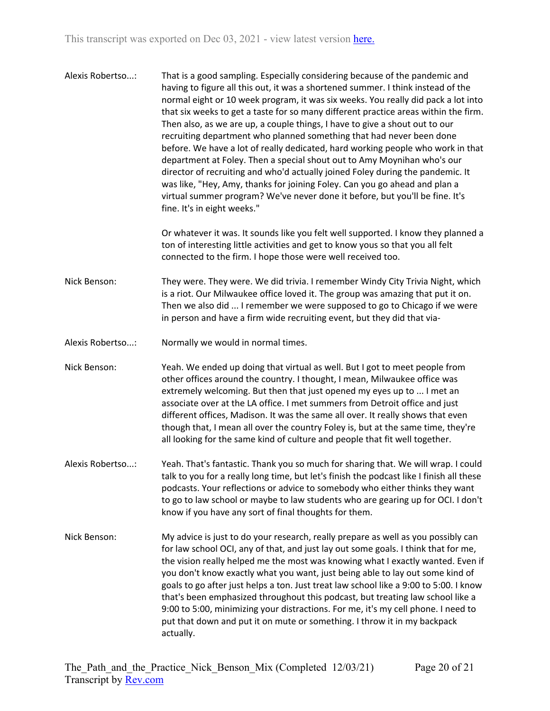Alexis Robertso...: That is a good sampling. Especially considering because of the pandemic and having to figure all this out, it was a shortened summer. I think instead of the normal eight or 10 week program, it was six weeks. You really did pack a lot into that six weeks to get a taste for so many different practice areas within the firm. Then also, as we are up, a couple things, I have to give a shout out to our recruiting department who planned something that had never been done before. We have a lot of really dedicated, hard working people who work in that department at Foley. Then a special shout out to Amy Moynihan who's our director of recruiting and who'd actually joined Foley during the pandemic. It was like, "Hey, Amy, thanks for joining Foley. Can you go ahead and plan a virtual summer program? We've never done it before, but you'll be fine. It's fine. It's in eight weeks."

> Or whatever it was. It sounds like you felt well supported. I know they planned a ton of interesting little activities and get to know yous so that you all felt connected to the firm. I hope those were well received too.

- Nick Benson: They were. They were. We did trivia. I remember Windy City Trivia Night, which is a riot. Our Milwaukee office loved it. The group was amazing that put it on. Then we also did ... I remember we were supposed to go to Chicago if we were in person and have a firm wide recruiting event, but they did that via-
- Alexis Robertso...: Normally we would in normal times.
- Nick Benson: Yeah. We ended up doing that virtual as well. But I got to meet people from other offices around the country. I thought, I mean, Milwaukee office was extremely welcoming. But then that just opened my eyes up to ... I met an associate over at the LA office. I met summers from Detroit office and just different offices, Madison. It was the same all over. It really shows that even though that, I mean all over the country Foley is, but at the same time, they're all looking for the same kind of culture and people that fit well together.
- Alexis Robertso...: Yeah. That's fantastic. Thank you so much for sharing that. We will wrap. I could talk to you for a really long time, but let's finish the podcast like I finish all these podcasts. Your reflections or advice to somebody who either thinks they want to go to law school or maybe to law students who are gearing up for OCI. I don't know if you have any sort of final thoughts for them.
- Nick Benson: My advice is just to do your research, really prepare as well as you possibly can for law school OCI, any of that, and just lay out some goals. I think that for me, the vision really helped me the most was knowing what I exactly wanted. Even if you don't know exactly what you want, just being able to lay out some kind of goals to go after just helps a ton. Just treat law school like a 9:00 to 5:00. I know that's been emphasized throughout this podcast, but treating law school like a 9:00 to 5:00, minimizing your distractions. For me, it's my cell phone. I need to put that down and put it on mute or something. I throw it in my backpack actually.